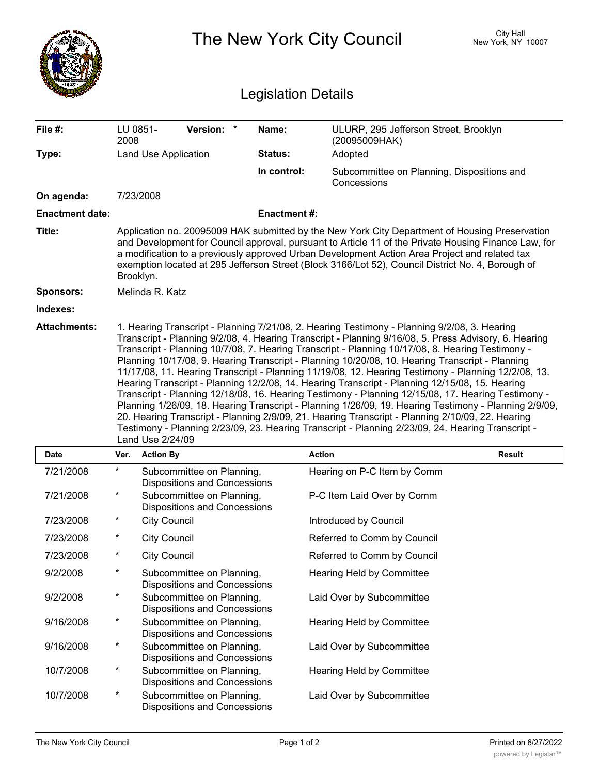|                        |                                                                                                                                                                                                                                                                                                                                                                                                                                                                                                                                                                                                                                                                                                                                                                                                                                                                                                                                                                                                                                                                   |                                                                  |                    | The New York City Council                                 | City Hall<br>New York, NY 10007 |  |  |  |
|------------------------|-------------------------------------------------------------------------------------------------------------------------------------------------------------------------------------------------------------------------------------------------------------------------------------------------------------------------------------------------------------------------------------------------------------------------------------------------------------------------------------------------------------------------------------------------------------------------------------------------------------------------------------------------------------------------------------------------------------------------------------------------------------------------------------------------------------------------------------------------------------------------------------------------------------------------------------------------------------------------------------------------------------------------------------------------------------------|------------------------------------------------------------------|--------------------|-----------------------------------------------------------|---------------------------------|--|--|--|
|                        | <b>Legislation Details</b>                                                                                                                                                                                                                                                                                                                                                                                                                                                                                                                                                                                                                                                                                                                                                                                                                                                                                                                                                                                                                                        |                                                                  |                    |                                                           |                                 |  |  |  |
| File #:                | LU 0851-<br>2008                                                                                                                                                                                                                                                                                                                                                                                                                                                                                                                                                                                                                                                                                                                                                                                                                                                                                                                                                                                                                                                  | Version: *                                                       | Name:              | ULURP, 295 Jefferson Street, Brooklyn<br>(20095009HAK)    |                                 |  |  |  |
| Type:                  |                                                                                                                                                                                                                                                                                                                                                                                                                                                                                                                                                                                                                                                                                                                                                                                                                                                                                                                                                                                                                                                                   | Land Use Application                                             | <b>Status:</b>     | Adopted                                                   |                                 |  |  |  |
|                        |                                                                                                                                                                                                                                                                                                                                                                                                                                                                                                                                                                                                                                                                                                                                                                                                                                                                                                                                                                                                                                                                   |                                                                  | In control:        | Subcommittee on Planning, Dispositions and<br>Concessions |                                 |  |  |  |
| On agenda:             |                                                                                                                                                                                                                                                                                                                                                                                                                                                                                                                                                                                                                                                                                                                                                                                                                                                                                                                                                                                                                                                                   | 7/23/2008                                                        |                    |                                                           |                                 |  |  |  |
| <b>Enactment date:</b> |                                                                                                                                                                                                                                                                                                                                                                                                                                                                                                                                                                                                                                                                                                                                                                                                                                                                                                                                                                                                                                                                   |                                                                  | <b>Enactment#:</b> |                                                           |                                 |  |  |  |
| Title:                 | Application no. 20095009 HAK submitted by the New York City Department of Housing Preservation<br>and Development for Council approval, pursuant to Article 11 of the Private Housing Finance Law, for<br>a modification to a previously approved Urban Development Action Area Project and related tax<br>exemption located at 295 Jefferson Street (Block 3166/Lot 52), Council District No. 4, Borough of<br>Brooklyn.                                                                                                                                                                                                                                                                                                                                                                                                                                                                                                                                                                                                                                         |                                                                  |                    |                                                           |                                 |  |  |  |
| Sponsors:              |                                                                                                                                                                                                                                                                                                                                                                                                                                                                                                                                                                                                                                                                                                                                                                                                                                                                                                                                                                                                                                                                   | Melinda R. Katz                                                  |                    |                                                           |                                 |  |  |  |
| Indexes:               |                                                                                                                                                                                                                                                                                                                                                                                                                                                                                                                                                                                                                                                                                                                                                                                                                                                                                                                                                                                                                                                                   |                                                                  |                    |                                                           |                                 |  |  |  |
|                        | 1. Hearing Transcript - Planning 7/21/08, 2. Hearing Testimony - Planning 9/2/08, 3. Hearing<br>Transcript - Planning 9/2/08, 4. Hearing Transcript - Planning 9/16/08, 5. Press Advisory, 6. Hearing<br>Transcript - Planning 10/7/08, 7. Hearing Transcript - Planning 10/17/08, 8. Hearing Testimony -<br>Planning 10/17/08, 9. Hearing Transcript - Planning 10/20/08, 10. Hearing Transcript - Planning<br>11/17/08, 11. Hearing Transcript - Planning 11/19/08, 12. Hearing Testimony - Planning 12/2/08, 13.<br>Hearing Transcript - Planning 12/2/08, 14. Hearing Transcript - Planning 12/15/08, 15. Hearing<br>Transcript - Planning 12/18/08, 16. Hearing Testimony - Planning 12/15/08, 17. Hearing Testimony -<br>Planning 1/26/09, 18. Hearing Transcript - Planning 1/26/09, 19. Hearing Testimony - Planning 2/9/09,<br>20. Hearing Transcript - Planning 2/9/09, 21. Hearing Transcript - Planning 2/10/09, 22. Hearing<br>Testimony - Planning 2/23/09, 23. Hearing Transcript - Planning 2/23/09, 24. Hearing Transcript -<br>Land Use 2/24/09 |                                                                  |                    |                                                           |                                 |  |  |  |
| Date                   |                                                                                                                                                                                                                                                                                                                                                                                                                                                                                                                                                                                                                                                                                                                                                                                                                                                                                                                                                                                                                                                                   | Ver. Action By                                                   |                    | <b>Action</b>                                             | Result                          |  |  |  |
| 7/21/2008              | $^\ast$                                                                                                                                                                                                                                                                                                                                                                                                                                                                                                                                                                                                                                                                                                                                                                                                                                                                                                                                                                                                                                                           | Subcommittee on Planning,<br><b>Dispositions and Concessions</b> |                    | Hearing on P-C Item by Comm                               |                                 |  |  |  |
| 7/21/2008              | $\star$                                                                                                                                                                                                                                                                                                                                                                                                                                                                                                                                                                                                                                                                                                                                                                                                                                                                                                                                                                                                                                                           | Subcommittee on Planning,<br><b>Dispositions and Concessions</b> |                    | P-C Item Laid Over by Comm                                |                                 |  |  |  |
| 7/23/2008              | $\ast$                                                                                                                                                                                                                                                                                                                                                                                                                                                                                                                                                                                                                                                                                                                                                                                                                                                                                                                                                                                                                                                            | <b>City Council</b>                                              |                    | Introduced by Council                                     |                                 |  |  |  |
| 7/23/2008              | $\ast$                                                                                                                                                                                                                                                                                                                                                                                                                                                                                                                                                                                                                                                                                                                                                                                                                                                                                                                                                                                                                                                            | <b>City Council</b>                                              |                    | Referred to Comm by Council                               |                                 |  |  |  |
| 7/23/2008              | $\ast$                                                                                                                                                                                                                                                                                                                                                                                                                                                                                                                                                                                                                                                                                                                                                                                                                                                                                                                                                                                                                                                            | <b>City Council</b>                                              |                    | Referred to Comm by Council                               |                                 |  |  |  |
| 9/2/2008               | $\star$                                                                                                                                                                                                                                                                                                                                                                                                                                                                                                                                                                                                                                                                                                                                                                                                                                                                                                                                                                                                                                                           | Subcommittee on Planning,<br><b>Dispositions and Concessions</b> |                    | Hearing Held by Committee                                 |                                 |  |  |  |
| 9/2/2008               | $\star$                                                                                                                                                                                                                                                                                                                                                                                                                                                                                                                                                                                                                                                                                                                                                                                                                                                                                                                                                                                                                                                           | Subcommittee on Planning,<br><b>Dispositions and Concessions</b> |                    | Laid Over by Subcommittee                                 |                                 |  |  |  |
| 9/16/2008              | $\star$                                                                                                                                                                                                                                                                                                                                                                                                                                                                                                                                                                                                                                                                                                                                                                                                                                                                                                                                                                                                                                                           | Subcommittee on Planning,<br><b>Dispositions and Concessions</b> |                    | Hearing Held by Committee                                 |                                 |  |  |  |
| 9/16/2008              | $\ast$                                                                                                                                                                                                                                                                                                                                                                                                                                                                                                                                                                                                                                                                                                                                                                                                                                                                                                                                                                                                                                                            | Subcommittee on Planning,<br><b>Dispositions and Concessions</b> |                    | Laid Over by Subcommittee                                 |                                 |  |  |  |
| 10/7/2008              | $\ast$                                                                                                                                                                                                                                                                                                                                                                                                                                                                                                                                                                                                                                                                                                                                                                                                                                                                                                                                                                                                                                                            | Subcommittee on Planning,<br><b>Dispositions and Concessions</b> |                    | Hearing Held by Committee                                 |                                 |  |  |  |
| 10/7/2008              | $\star$                                                                                                                                                                                                                                                                                                                                                                                                                                                                                                                                                                                                                                                                                                                                                                                                                                                                                                                                                                                                                                                           | Subcommittee on Planning,<br><b>Dispositions and Concessions</b> |                    | Laid Over by Subcommittee                                 |                                 |  |  |  |